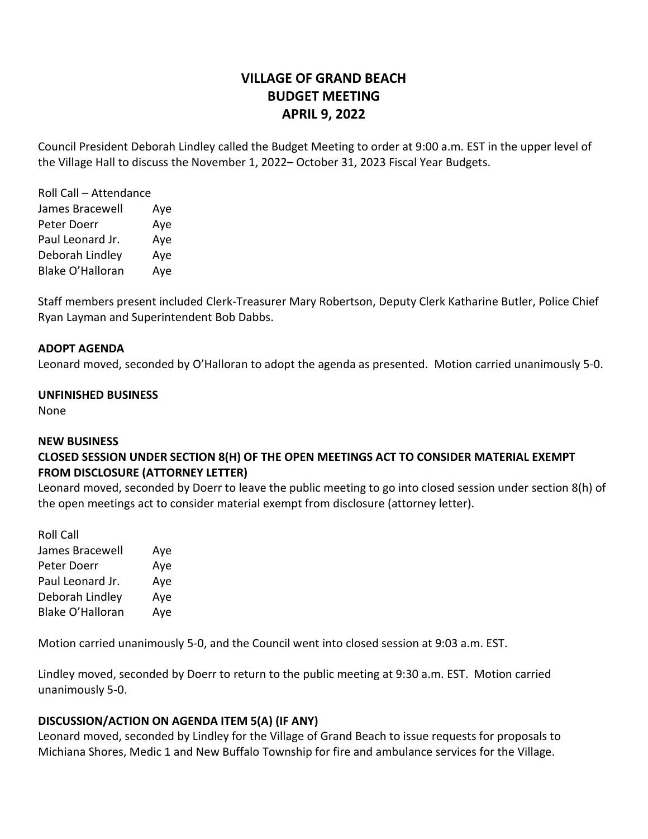# **VILLAGE OF GRAND BEACH BUDGET MEETING APRIL 9, 2022**

Council President Deborah Lindley called the Budget Meeting to order at 9:00 a.m. EST in the upper level of the Village Hall to discuss the November 1, 2022– October 31, 2023 Fiscal Year Budgets.

| Roll Call - Attendance |     |
|------------------------|-----|
| James Bracewell        | Aye |
| Peter Doerr            | Aye |
| Paul Leonard Jr.       | Aye |
| Deborah Lindley        | Aye |
| Blake O'Halloran       | Aye |

Staff members present included Clerk-Treasurer Mary Robertson, Deputy Clerk Katharine Butler, Police Chief Ryan Layman and Superintendent Bob Dabbs.

## **ADOPT AGENDA**

Leonard moved, seconded by O'Halloran to adopt the agenda as presented. Motion carried unanimously 5-0.

#### **UNFINISHED BUSINESS**

None

#### **NEW BUSINESS**

# **CLOSED SESSION UNDER SECTION 8(H) OF THE OPEN MEETINGS ACT TO CONSIDER MATERIAL EXEMPT FROM DISCLOSURE (ATTORNEY LETTER)**

Leonard moved, seconded by Doerr to leave the public meeting to go into closed session under section 8(h) of the open meetings act to consider material exempt from disclosure (attorney letter).

| <b>Roll Call</b>        |     |
|-------------------------|-----|
| James Bracewell         | Aye |
| Peter Doerr             | Aye |
| Paul Leonard Jr.        | Aye |
| Deborah Lindley         | Aye |
| <b>Blake O'Halloran</b> | Aye |

Motion carried unanimously 5-0, and the Council went into closed session at 9:03 a.m. EST.

Lindley moved, seconded by Doerr to return to the public meeting at 9:30 a.m. EST. Motion carried unanimously 5-0.

#### **DISCUSSION/ACTION ON AGENDA ITEM 5(A) (IF ANY)**

Leonard moved, seconded by Lindley for the Village of Grand Beach to issue requests for proposals to Michiana Shores, Medic 1 and New Buffalo Township for fire and ambulance services for the Village.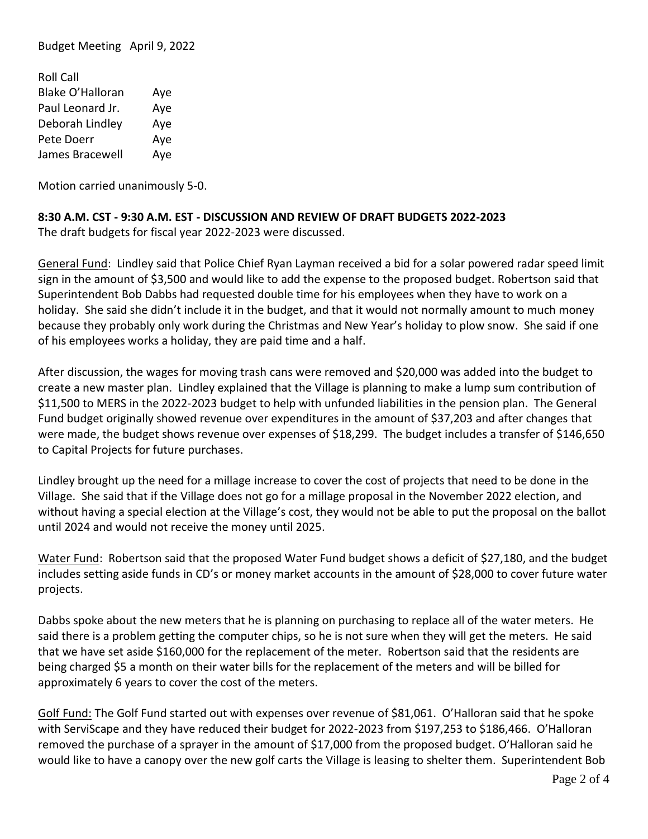Budget Meeting April 9, 2022

| <b>Roll Call</b>        |     |
|-------------------------|-----|
| <b>Blake O'Halloran</b> | Aye |
| Paul Leonard Jr.        | Aye |
| Deborah Lindley         | Aye |
| Pete Doerr              | Aye |
| James Bracewell         | Aye |

Motion carried unanimously 5-0.

# **8:30 A.M. CST - 9:30 A.M. EST - DISCUSSION AND REVIEW OF DRAFT BUDGETS 2022-2023**

The draft budgets for fiscal year 2022-2023 were discussed.

General Fund: Lindley said that Police Chief Ryan Layman received a bid for a solar powered radar speed limit sign in the amount of \$3,500 and would like to add the expense to the proposed budget. Robertson said that Superintendent Bob Dabbs had requested double time for his employees when they have to work on a holiday. She said she didn't include it in the budget, and that it would not normally amount to much money because they probably only work during the Christmas and New Year's holiday to plow snow. She said if one of his employees works a holiday, they are paid time and a half.

After discussion, the wages for moving trash cans were removed and \$20,000 was added into the budget to create a new master plan. Lindley explained that the Village is planning to make a lump sum contribution of \$11,500 to MERS in the 2022-2023 budget to help with unfunded liabilities in the pension plan. The General Fund budget originally showed revenue over expenditures in the amount of \$37,203 and after changes that were made, the budget shows revenue over expenses of \$18,299. The budget includes a transfer of \$146,650 to Capital Projects for future purchases.

Lindley brought up the need for a millage increase to cover the cost of projects that need to be done in the Village. She said that if the Village does not go for a millage proposal in the November 2022 election, and without having a special election at the Village's cost, they would not be able to put the proposal on the ballot until 2024 and would not receive the money until 2025.

Water Fund: Robertson said that the proposed Water Fund budget shows a deficit of \$27,180, and the budget includes setting aside funds in CD's or money market accounts in the amount of \$28,000 to cover future water projects.

Dabbs spoke about the new meters that he is planning on purchasing to replace all of the water meters. He said there is a problem getting the computer chips, so he is not sure when they will get the meters. He said that we have set aside \$160,000 for the replacement of the meter. Robertson said that the residents are being charged \$5 a month on their water bills for the replacement of the meters and will be billed for approximately 6 years to cover the cost of the meters.

Golf Fund: The Golf Fund started out with expenses over revenue of \$81,061. O'Halloran said that he spoke with ServiScape and they have reduced their budget for 2022-2023 from \$197,253 to \$186,466. O'Halloran removed the purchase of a sprayer in the amount of \$17,000 from the proposed budget. O'Halloran said he would like to have a canopy over the new golf carts the Village is leasing to shelter them. Superintendent Bob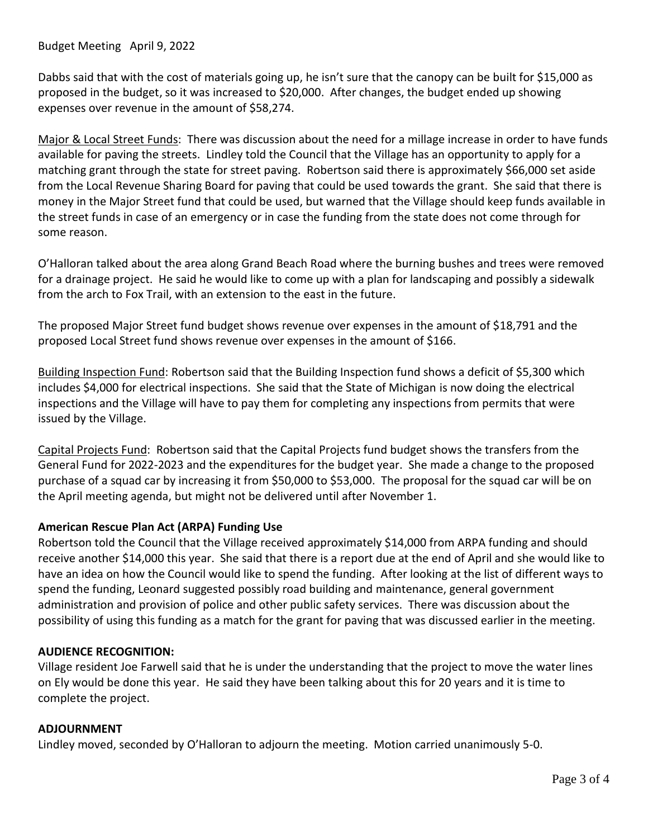Budget Meeting April 9, 2022

Dabbs said that with the cost of materials going up, he isn't sure that the canopy can be built for \$15,000 as proposed in the budget, so it was increased to \$20,000. After changes, the budget ended up showing expenses over revenue in the amount of \$58,274.

Major & Local Street Funds: There was discussion about the need for a millage increase in order to have funds available for paving the streets. Lindley told the Council that the Village has an opportunity to apply for a matching grant through the state for street paving. Robertson said there is approximately \$66,000 set aside from the Local Revenue Sharing Board for paving that could be used towards the grant. She said that there is money in the Major Street fund that could be used, but warned that the Village should keep funds available in the street funds in case of an emergency or in case the funding from the state does not come through for some reason.

O'Halloran talked about the area along Grand Beach Road where the burning bushes and trees were removed for a drainage project. He said he would like to come up with a plan for landscaping and possibly a sidewalk from the arch to Fox Trail, with an extension to the east in the future.

The proposed Major Street fund budget shows revenue over expenses in the amount of \$18,791 and the proposed Local Street fund shows revenue over expenses in the amount of \$166.

Building Inspection Fund: Robertson said that the Building Inspection fund shows a deficit of \$5,300 which includes \$4,000 for electrical inspections. She said that the State of Michigan is now doing the electrical inspections and the Village will have to pay them for completing any inspections from permits that were issued by the Village.

Capital Projects Fund: Robertson said that the Capital Projects fund budget shows the transfers from the General Fund for 2022-2023 and the expenditures for the budget year. She made a change to the proposed purchase of a squad car by increasing it from \$50,000 to \$53,000. The proposal for the squad car will be on the April meeting agenda, but might not be delivered until after November 1.

## **American Rescue Plan Act (ARPA) Funding Use**

Robertson told the Council that the Village received approximately \$14,000 from ARPA funding and should receive another \$14,000 this year. She said that there is a report due at the end of April and she would like to have an idea on how the Council would like to spend the funding. After looking at the list of different ways to spend the funding, Leonard suggested possibly road building and maintenance, general government administration and provision of police and other public safety services. There was discussion about the possibility of using this funding as a match for the grant for paving that was discussed earlier in the meeting.

## **AUDIENCE RECOGNITION:**

Village resident Joe Farwell said that he is under the understanding that the project to move the water lines on Ely would be done this year. He said they have been talking about this for 20 years and it is time to complete the project.

#### **ADJOURNMENT**

Lindley moved, seconded by O'Halloran to adjourn the meeting. Motion carried unanimously 5-0.